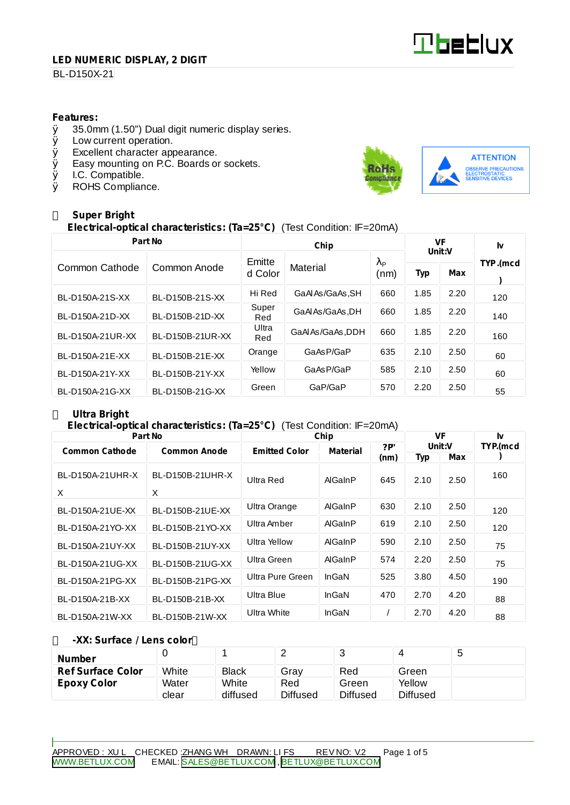# **Tbeblux**

#### **LED NUMERIC DISPLAY, 2 DIGIT**

# **BL-D150X-21**

#### **Features:**

- $\emptyset$  35.0mm (1.50") Dual digit numeric display series.<br> $\emptyset$  Low current operation.
- Low current operation.
- Ø Excellent character appearance.
- $\emptyset$  Easy mounting on P.C. Boards or sockets.<br> $\emptyset$  I.C. Compatible.
- Ø I.C. Compatible.<br>Ø ROHS Complian
- ROHS Compliance.



# **Super Bright**

**Electrical-optical characteristics: (Ta=25°C)** (Test Condition: IF=20mA)

| Part No          |                  |              | VF<br>Unit:V     |                        | Iv   |            |          |  |
|------------------|------------------|--------------|------------------|------------------------|------|------------|----------|--|
|                  |                  | Emitte       |                  | $\lambda_{\mathsf{P}}$ |      |            | TYP.(mcd |  |
| Common Cathode   | Common Anode     | d Color      | Material         |                        | Typ  | <b>Max</b> |          |  |
| BL-D150A-21S-XX  | BL-D150B-21S-XX  | Hi Red       | GaAl As/GaAs, SH | 660                    | 1.85 | 2.20       | 120      |  |
| BL-D150A-21D-XX  | BL-D150B-21D-XX  | Super<br>Red | GaAl As/GaAs, DH | 660                    | 1.85 | 2.20       | 140      |  |
| BL-D150A-21UR-XX | BL-D150B-21UR-XX | Ultra<br>Red | GaAlAs/GaAs, DDH | 660                    | 1.85 | 2.20       | 160      |  |
| BL-D150A-21E-XX  | BL-D150B-21E-XX  | Orange       | GaAsP/GaP        | 635                    | 2.10 | 2.50       | 60       |  |
| BL-D150A-21Y-XX  | BL-D150B-21Y-XX  | Yellow       | GaAsP/GaP        | 585                    | 2.10 | 2.50       | 60       |  |
| BL-D150A-21G-XX  | BL-D150B-21G-XX  | Green        | GaP/GaP          | 570                    | 2.20 | 2.50       | 55       |  |

# **Ultra Bright**

#### **Electrical-optical characteristics: (Ta=25°C)** (Test Condition: IF=20mA)

| Part No               |                     | Chip                                    | <b>VF</b> |      | Iv         |      |          |
|-----------------------|---------------------|-----------------------------------------|-----------|------|------------|------|----------|
| <b>Common Cathode</b> | <b>Common Anode</b> | <b>Emitted Color</b><br><b>Material</b> |           | ?P   | Unit:V     |      | TYP.(mcd |
|                       |                     |                                         |           | (nm) | <b>Typ</b> | Max  |          |
| BL-D150A-21UHR-X      | BL-D150B-21UHR-X    | Ultra Red                               | AlGaInP   | 645  | 2.10       | 2.50 | 160      |
| X                     | X                   |                                         |           |      |            |      |          |
| BL-D150A-21UE-XX      | BL-D150B-21UE-XX    | Ultra Orange                            | AlGaInP   | 630  | 2.10       | 2.50 | 120      |
| BL-D150A-21YO-XX      | BL-D150B-21YO-XX    | Ultra Amber                             | AlGaInP   | 619  | 2.10       | 2.50 | 120      |
| BL-D150A-21UY-XX      | BL-D150B-21UY-XX    | Ultra Yellow                            | AlGaInP   | 590  | 2.10       | 2.50 | 75       |
| BL-D150A-21UG-XX      | BL-D150B-21UG-XX    | Ultra Green                             | AlGaInP   | 574  | 2.20       | 2.50 | 75       |
| BL-D150A-21PG-XX      | BL-D150B-21PG-XX    | Ultra Pure Green                        | InGaN     | 525  | 3.80       | 4.50 | 190      |
| BL-D150A-21B-XX       | BL-D150B-21B-XX     | Ultra Blue                              | InGaN     | 470  | 2.70       | 4.20 | 88       |
| BL-D150A-21W-XX       | BL-D150B-21W-XX     | <b>Ultra White</b>                      | InGaN     |      | 2.70       | 4.20 | 88       |

#### **-XX: Surface / Lens color**

| <b>Number</b>            |       |              | ▃               | ີ               |          | J |
|--------------------------|-------|--------------|-----------------|-----------------|----------|---|
| <b>Ref Surface Color</b> | White | <b>Black</b> | Grav            | Red             | Green    |   |
| <b>Epoxy Color</b>       | Water | White        | Red             | Green           | Yellow   |   |
|                          | clear | diffused     | <b>Diffused</b> | <b>Diffused</b> | Diffused |   |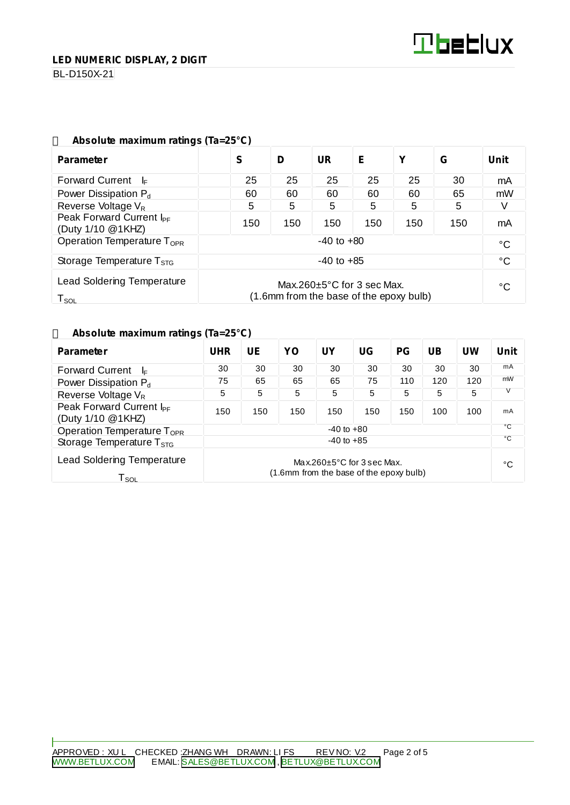**LED NUMERIC DISPLAY, 2 DIGIT**

**BL-D150X-21** 

| ADSOIUTE MAXIMUM ratings (18=25°C)                                                                                           |                |     |           |     |     |     |      |  |
|------------------------------------------------------------------------------------------------------------------------------|----------------|-----|-----------|-----|-----|-----|------|--|
| <b>Parameter</b>                                                                                                             | S              | D   | <b>UR</b> | Е   | Υ   | G   | Unit |  |
| <b>Forward Current</b><br>- l⊧                                                                                               | 25             | 25  | 25        | 25  | 25  | 30  | mA   |  |
| Power Dissipation $P_d$                                                                                                      | 60             | 60  | 60        | 60  | 60  | 65  | mW   |  |
| Reverse Voltage $V_R$                                                                                                        | 5              | 5   | 5         | 5   | 5   | 5   |      |  |
| Peak Forward Current I <sub>PF</sub><br>(Duty 1/10 @1KHZ)                                                                    | 150            | 150 | 150       | 150 | 150 | 150 | mA   |  |
| Operation Temperature $T_{\text{OPR}}$                                                                                       | $-40$ to $+80$ |     |           |     |     |     | °C   |  |
| $-40$ to $+85$<br>Storage Temperature $T_{STG}$                                                                              |                |     |           |     | °C  |     |      |  |
| <b>Lead Soldering Temperature</b><br>Max.260 $\pm$ 5°C for 3 sec Max.<br>(1.6mm from the base of the epoxy bulb)<br>$T_{SO}$ |                |     |           |     |     | °C  |      |  |

#### **Absolute maximum ratings (Ta=25°C)**

#### **Absolute maximum ratings (Ta=25°C)**

| <b>Parameter</b>                                                 | <b>UHR</b>                                                                  | UE  | YO  | <b>UY</b> | UG  | <b>PG</b> | <b>UB</b> | UW  | <b>Unit</b>  |
|------------------------------------------------------------------|-----------------------------------------------------------------------------|-----|-----|-----------|-----|-----------|-----------|-----|--------------|
| <b>Forward Current</b><br>I⊧                                     | 30                                                                          | 30  | 30  | 30        | 30  | 30        | 30        | 30  | mA           |
| Power Dissipation P <sub>d</sub>                                 | 75                                                                          | 65  | 65  | 65        | 75  | 110       | 120       | 120 | mW           |
| Reverse Voltage V <sub>R</sub>                                   | 5                                                                           | 5   | 5   | 5         | 5   | 5         | 5         | 5   |              |
| Peak Forward Current I <sub>PF</sub><br>(Duty 1/10 @1KHZ)        | 150                                                                         | 150 | 150 | 150       | 150 | 150       | 100       | 100 | mA           |
| Operation Temperature T <sub>OPR</sub>                           | $-40$ to $+80$                                                              |     |     |           |     |           |           |     | °C           |
| Storage Temperature $T_{\rm STG}$                                | $-40$ to $+85$                                                              |     |     |           |     |           |           |     | $^{\circ}$ C |
| <b>Lead Soldering Temperature</b><br>$\mathsf{T}_{\mathsf{SOL}}$ | Max.260 $\pm$ 5°C for 3 sec Max.<br>(1.6mm from the base of the epoxy bulb) |     |     |           |     |           |           | °C  |              |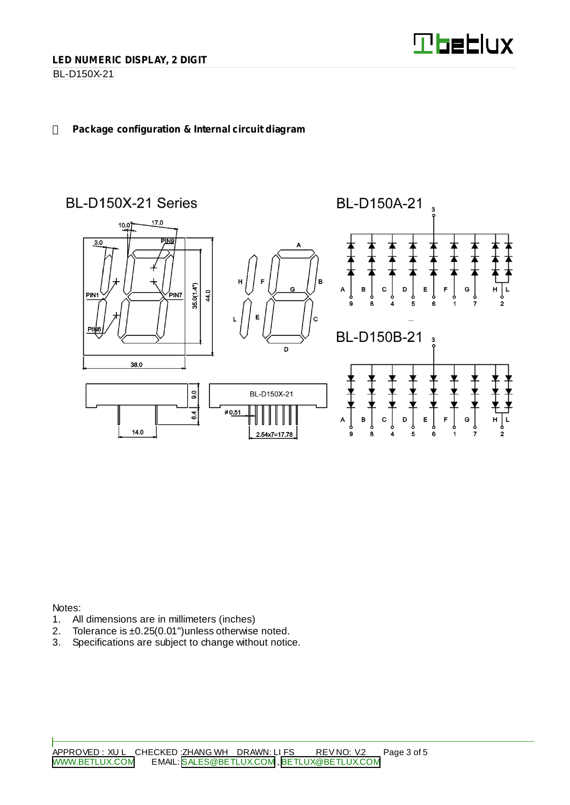

**BL-D150X-21** 

## **Package configuration & Internal circuit diagram**



Notes:

- 1. All dimensions are in millimeters (inches)
- 2. Tolerance is ±0.25(0.01")unless otherwise noted.
- 3. Specifications are subject to change without notice.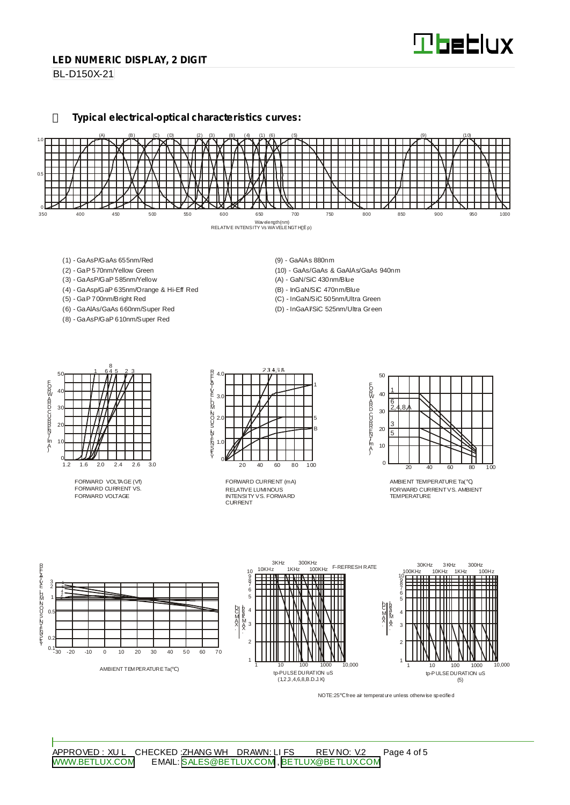#### **LED NUMERIC DISPLAY, 2 DIGIT**

**BL-D150X-21** 

**Typical electrical-optical characteristics curves:**



- (1) GaAsP/GaAs 655nm/Red
- (2) GaP 570nm/Yellow Green
- (3) GaAsP/GaP 585nm/Yellow
- (4) GaAsp/GaP 635nm/Orange & Hi-Eff Red
- (5) GaP 700nm/Bright Red
- (6) GaAlAs/GaAs 660nm/Super Red (8) - GaAsP/GaP 610nm/Super Red
- (9) GaAlAs 880nm
- (10) GaAs/GaAs & GaAlAs/GaAs 940nm
- (A) GaN/SiC 430nm/Blue
- (B) InGaN/SiC 470nm/Blue
- (C) InGaN/SiC 505nm/Ultra Green (D) - InGaAl/SiC 525nm/Ultra Green

50 40 30  $\mathcal{D}$ 10  $rac{0}{1.2}$ 1.2 1.6 2.0 2.4 2.6 3.0 1 645 23 8 EORWARD CURRINT [mA]

FORWARD VOLTAGE (Vf) FORWARD CURRENT VS. FORWARD VOLTAGE



RELATIVE LUMINOUS INTENSITY VS. FORWARD CURRENT FORWARD CURRENT (mA)



AMBIENT TEMPERATURE Ta( ) FORWARD CURRENTVS. AMBIENT TEMPERATURE



NOTE:25 free air temperature unless otherwise specified